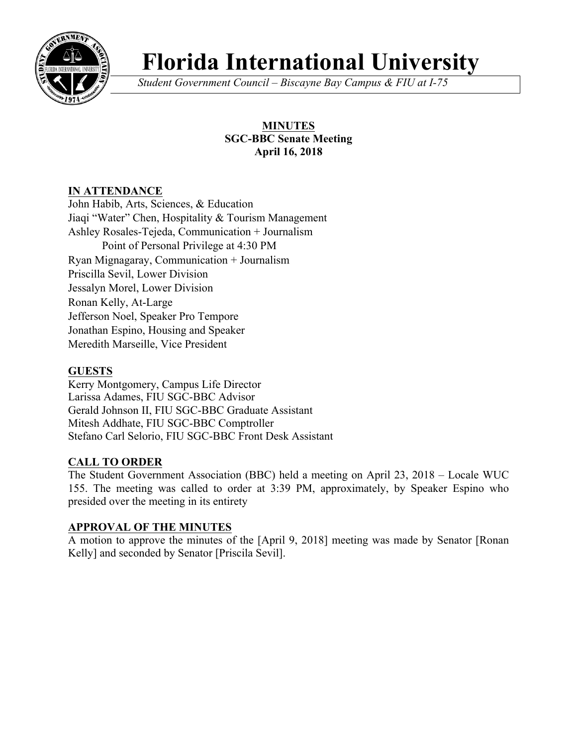

# **Florida International University**

*Student Government Council – Biscayne Bay Campus & FIU at I-75*

# **MINUTES SGC-BBC Senate Meeting April 16, 2018**

# **IN ATTENDANCE**

John Habib, Arts, Sciences, & Education Jiaqi "Water" Chen, Hospitality & Tourism Management Ashley Rosales-Tejeda, Communication + Journalism Point of Personal Privilege at 4:30 PM Ryan Mignagaray, Communication + Journalism Priscilla Sevil, Lower Division Jessalyn Morel, Lower Division Ronan Kelly, At-Large Jefferson Noel, Speaker Pro Tempore Jonathan Espino, Housing and Speaker Meredith Marseille, Vice President

# **GUESTS**

Kerry Montgomery, Campus Life Director Larissa Adames, FIU SGC-BBC Advisor Gerald Johnson II, FIU SGC-BBC Graduate Assistant Mitesh Addhate, FIU SGC-BBC Comptroller Stefano Carl Selorio, FIU SGC-BBC Front Desk Assistant

# **CALL TO ORDER**

The Student Government Association (BBC) held a meeting on April 23, 2018 – Locale WUC 155. The meeting was called to order at 3:39 PM, approximately, by Speaker Espino who presided over the meeting in its entirety

# **APPROVAL OF THE MINUTES**

A motion to approve the minutes of the [April 9, 2018] meeting was made by Senator [Ronan Kelly] and seconded by Senator [Priscila Sevil].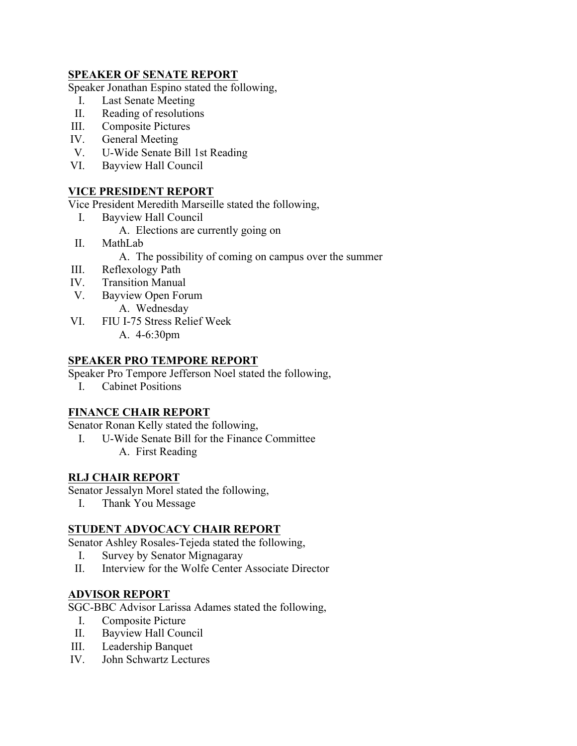## **SPEAKER OF SENATE REPORT**

Speaker Jonathan Espino stated the following,

- I. Last Senate Meeting
- II. Reading of resolutions
- III. Composite Pictures
- IV. General Meeting
- V. U-Wide Senate Bill 1st Reading
- VI. Bayview Hall Council

### **VICE PRESIDENT REPORT**

Vice President Meredith Marseille stated the following,

- I. Bayview Hall Council
	- A. Elections are currently going on
- II. MathLab
	- A. The possibility of coming on campus over the summer
- III. Reflexology Path
- IV. Transition Manual
- V. Bayview Open Forum
	- A. Wednesday
- VI. FIU I-75 Stress Relief Week A. 4-6:30pm

#### **SPEAKER PRO TEMPORE REPORT**

Speaker Pro Tempore Jefferson Noel stated the following,

I. Cabinet Positions

## **FINANCE CHAIR REPORT**

Senator Ronan Kelly stated the following,

I. U-Wide Senate Bill for the Finance Committee A. First Reading

#### **RLJ CHAIR REPORT**

Senator Jessalyn Morel stated the following,

I. Thank You Message

### **STUDENT ADVOCACY CHAIR REPORT**

Senator Ashley Rosales-Tejeda stated the following,

- I. Survey by Senator Mignagaray
- II. Interview for the Wolfe Center Associate Director

#### **ADVISOR REPORT**

SGC-BBC Advisor Larissa Adames stated the following,

- I. Composite Picture
- II. Bayview Hall Council
- III. Leadership Banquet
- IV. John Schwartz Lectures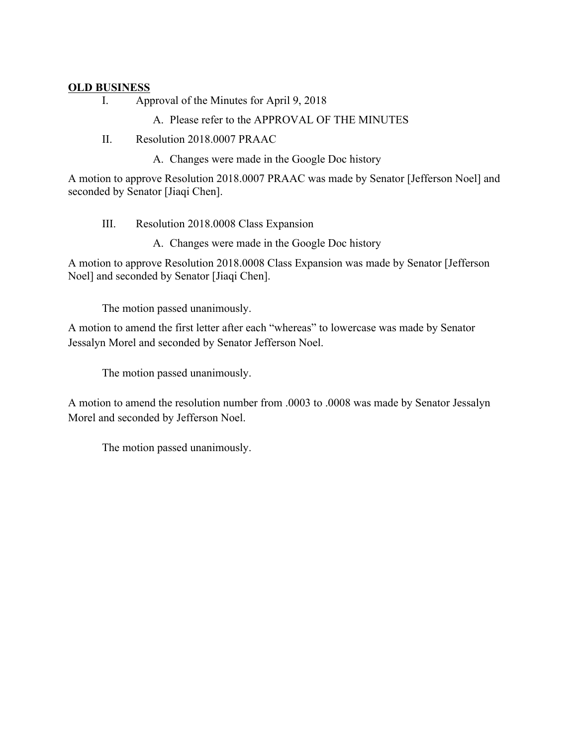## **OLD BUSINESS**

I. Approval of the Minutes for April 9, 2018

## A. Please refer to the APPROVAL OF THE MINUTES

II. Resolution 2018.0007 PRAAC

A. Changes were made in the Google Doc history

A motion to approve Resolution 2018.0007 PRAAC was made by Senator [Jefferson Noel] and seconded by Senator [Jiaqi Chen].

- III. Resolution 2018.0008 Class Expansion
	- A. Changes were made in the Google Doc history

A motion to approve Resolution 2018.0008 Class Expansion was made by Senator [Jefferson Noel] and seconded by Senator [Jiaqi Chen].

The motion passed unanimously.

A motion to amend the first letter after each "whereas" to lowercase was made by Senator Jessalyn Morel and seconded by Senator Jefferson Noel.

The motion passed unanimously.

A motion to amend the resolution number from .0003 to .0008 was made by Senator Jessalyn Morel and seconded by Jefferson Noel.

The motion passed unanimously.